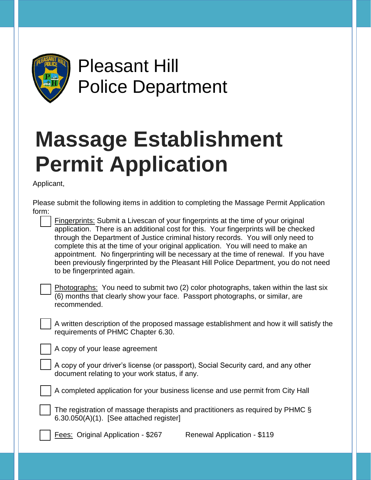

Pleasant Hill Police Department

## **Massage Establishment Permit Application**

Applicant,

| Please submit the following items in addition to completing the Massage Permit Application<br>form:                                                                                                                                                                                                                                                                                                                                                                                                                                                                      |  |  |  |  |  |  |  |
|--------------------------------------------------------------------------------------------------------------------------------------------------------------------------------------------------------------------------------------------------------------------------------------------------------------------------------------------------------------------------------------------------------------------------------------------------------------------------------------------------------------------------------------------------------------------------|--|--|--|--|--|--|--|
| <b>Fingerprints:</b> Submit a Livescan of your fingerprints at the time of your original<br>application. There is an additional cost for this. Your fingerprints will be checked<br>through the Department of Justice criminal history records. You will only need to<br>complete this at the time of your original application. You will need to make an<br>appointment. No fingerprinting will be necessary at the time of renewal. If you have<br>been previously fingerprinted by the Pleasant Hill Police Department, you do not need<br>to be fingerprinted again. |  |  |  |  |  |  |  |
| Photographs: You need to submit two (2) color photographs, taken within the last six<br>(6) months that clearly show your face. Passport photographs, or similar, are<br>recommended.                                                                                                                                                                                                                                                                                                                                                                                    |  |  |  |  |  |  |  |
| A written description of the proposed massage establishment and how it will satisfy the<br>requirements of PHMC Chapter 6.30.                                                                                                                                                                                                                                                                                                                                                                                                                                            |  |  |  |  |  |  |  |
| A copy of your lease agreement                                                                                                                                                                                                                                                                                                                                                                                                                                                                                                                                           |  |  |  |  |  |  |  |
| A copy of your driver's license (or passport), Social Security card, and any other<br>document relating to your work status, if any.                                                                                                                                                                                                                                                                                                                                                                                                                                     |  |  |  |  |  |  |  |
| A completed application for your business license and use permit from City Hall                                                                                                                                                                                                                                                                                                                                                                                                                                                                                          |  |  |  |  |  |  |  |
| The registration of massage therapists and practitioners as required by PHMC §<br>$6.30.050(A)(1)$ . [See attached register]                                                                                                                                                                                                                                                                                                                                                                                                                                             |  |  |  |  |  |  |  |
| <b>Fees: Original Application - \$267</b><br>Renewal Application - \$119                                                                                                                                                                                                                                                                                                                                                                                                                                                                                                 |  |  |  |  |  |  |  |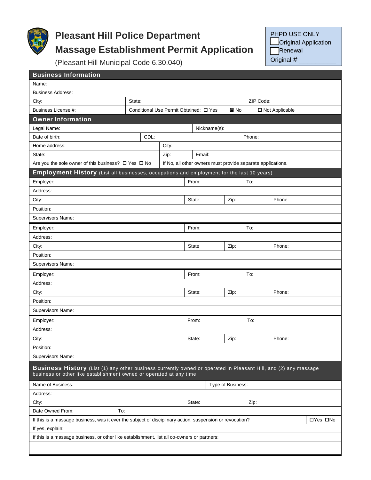

## **Pleasant Hill Police Department Massage Establishment Permit Application**

PHPD USE ONLY **Original Application** Renewal

Original #

(Pleasant Hill Municipal Code 6.30.040)

| <b>Business Information</b>                                                                                                                                                           |        |                                        |              |                   |                                                             |          |  |
|---------------------------------------------------------------------------------------------------------------------------------------------------------------------------------------|--------|----------------------------------------|--------------|-------------------|-------------------------------------------------------------|----------|--|
| Name:                                                                                                                                                                                 |        |                                        |              |                   |                                                             |          |  |
| <b>Business Address:</b>                                                                                                                                                              |        |                                        |              |                   |                                                             |          |  |
| City:                                                                                                                                                                                 | State: |                                        |              |                   | ZIP Code:                                                   |          |  |
| Business License #:                                                                                                                                                                   |        | Conditional Use Permit Obtained: □ Yes |              | $\blacksquare$ No | □ Not Applicable                                            |          |  |
| <b>Owner Information</b>                                                                                                                                                              |        |                                        |              |                   |                                                             |          |  |
| Legal Name:                                                                                                                                                                           |        |                                        | Nickname(s): |                   |                                                             |          |  |
| Date of birth:                                                                                                                                                                        | CDL:   |                                        |              |                   | Phone:                                                      |          |  |
| Home address:                                                                                                                                                                         |        | City:                                  |              |                   |                                                             |          |  |
| State:                                                                                                                                                                                |        | Zip:                                   | Email:       |                   |                                                             |          |  |
| Are you the sole owner of this business? $\Box$ Yes $\Box$ No                                                                                                                         |        |                                        |              |                   | If No, all other owners must provide separate applications. |          |  |
| <b>Employment History</b> (List all businesses, occupations and employment for the last 10 years)                                                                                     |        |                                        |              |                   |                                                             |          |  |
| Employer:                                                                                                                                                                             |        |                                        | From:        |                   | To:                                                         |          |  |
| Address:                                                                                                                                                                              |        |                                        |              |                   |                                                             |          |  |
| City:                                                                                                                                                                                 |        |                                        | State:       | Zip:              | Phone:                                                      |          |  |
| Position:                                                                                                                                                                             |        |                                        |              |                   |                                                             |          |  |
| Supervisors Name:                                                                                                                                                                     |        |                                        |              |                   |                                                             |          |  |
| Employer:                                                                                                                                                                             |        |                                        | From:        |                   | To:                                                         |          |  |
| Address:                                                                                                                                                                              |        |                                        |              |                   |                                                             |          |  |
| City:                                                                                                                                                                                 |        |                                        | <b>State</b> | Zip:              | Phone:                                                      |          |  |
| Position:                                                                                                                                                                             |        |                                        |              |                   |                                                             |          |  |
| Supervisors Name:                                                                                                                                                                     |        |                                        |              |                   |                                                             |          |  |
| Employer:                                                                                                                                                                             |        |                                        | From:        |                   | To:                                                         |          |  |
| Address:                                                                                                                                                                              |        |                                        |              |                   |                                                             |          |  |
| City:                                                                                                                                                                                 |        |                                        | State:       | Zip:              | Phone:                                                      |          |  |
| Position:                                                                                                                                                                             |        |                                        |              |                   |                                                             |          |  |
| Supervisors Name:                                                                                                                                                                     |        |                                        |              |                   |                                                             |          |  |
| Employer:                                                                                                                                                                             |        |                                        | From:        |                   | To:                                                         |          |  |
| Address:                                                                                                                                                                              |        |                                        |              |                   |                                                             |          |  |
| City:                                                                                                                                                                                 |        |                                        | State:       | Zip:              | Phone:                                                      |          |  |
| Position:                                                                                                                                                                             |        |                                        |              |                   |                                                             |          |  |
| Supervisors Name:                                                                                                                                                                     |        |                                        |              |                   |                                                             |          |  |
|                                                                                                                                                                                       |        |                                        |              |                   |                                                             |          |  |
| Business History (List (1) any other business currently owned or operated in Pleasant Hill, and (2) any massage<br>business or other like establishment owned or operated at any time |        |                                        |              |                   |                                                             |          |  |
| Name of Business:                                                                                                                                                                     |        |                                        |              | Type of Business: |                                                             |          |  |
| Address:                                                                                                                                                                              |        |                                        |              |                   |                                                             |          |  |
| City:                                                                                                                                                                                 |        |                                        | State:       |                   | Zip:                                                        |          |  |
| Date Owned From:<br>To:                                                                                                                                                               |        |                                        |              |                   |                                                             |          |  |
| If this is a massage business, was it ever the subject of disciplinary action, suspension or revocation?                                                                              |        |                                        |              |                   |                                                             | □Yes □No |  |
| If yes, explain:                                                                                                                                                                      |        |                                        |              |                   |                                                             |          |  |
| If this is a massage business, or other like establishment, list all co-owners or partners:                                                                                           |        |                                        |              |                   |                                                             |          |  |
|                                                                                                                                                                                       |        |                                        |              |                   |                                                             |          |  |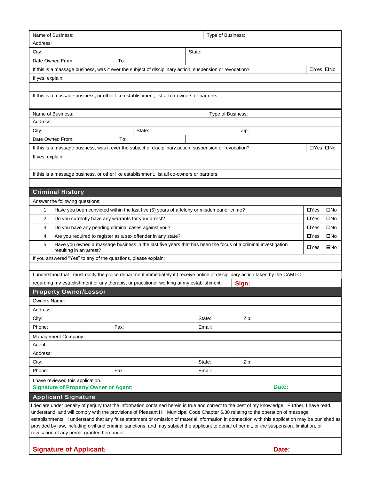| Address:                                                                                                                                                                                                                                                                                                                                                                                                                                                                                                                                                                                                                                 |                                                                |                                                                                          | Type of Business: |                   |       |                          |
|------------------------------------------------------------------------------------------------------------------------------------------------------------------------------------------------------------------------------------------------------------------------------------------------------------------------------------------------------------------------------------------------------------------------------------------------------------------------------------------------------------------------------------------------------------------------------------------------------------------------------------------|----------------------------------------------------------------|------------------------------------------------------------------------------------------|-------------------|-------------------|-------|--------------------------|
|                                                                                                                                                                                                                                                                                                                                                                                                                                                                                                                                                                                                                                          |                                                                |                                                                                          |                   |                   |       |                          |
| City:                                                                                                                                                                                                                                                                                                                                                                                                                                                                                                                                                                                                                                    |                                                                |                                                                                          | State:            |                   |       |                          |
| Date Owned From:                                                                                                                                                                                                                                                                                                                                                                                                                                                                                                                                                                                                                         | To:                                                            |                                                                                          |                   |                   |       |                          |
| If this is a massage business, was it ever the subject of disciplinary action, suspension or revocation?                                                                                                                                                                                                                                                                                                                                                                                                                                                                                                                                 |                                                                |                                                                                          |                   |                   |       | □Yes □No                 |
| If yes, explain:                                                                                                                                                                                                                                                                                                                                                                                                                                                                                                                                                                                                                         |                                                                |                                                                                          |                   |                   |       |                          |
|                                                                                                                                                                                                                                                                                                                                                                                                                                                                                                                                                                                                                                          |                                                                |                                                                                          |                   |                   |       |                          |
| If this is a massage business, or other like establishment, list all co-owners or partners:                                                                                                                                                                                                                                                                                                                                                                                                                                                                                                                                              |                                                                |                                                                                          |                   |                   |       |                          |
|                                                                                                                                                                                                                                                                                                                                                                                                                                                                                                                                                                                                                                          |                                                                |                                                                                          |                   |                   |       |                          |
| Name of Business:                                                                                                                                                                                                                                                                                                                                                                                                                                                                                                                                                                                                                        |                                                                |                                                                                          |                   | Type of Business: |       |                          |
| Address:                                                                                                                                                                                                                                                                                                                                                                                                                                                                                                                                                                                                                                 |                                                                |                                                                                          |                   |                   |       |                          |
| City:                                                                                                                                                                                                                                                                                                                                                                                                                                                                                                                                                                                                                                    |                                                                | State:                                                                                   |                   | Zip:              |       |                          |
| Date Owned From:                                                                                                                                                                                                                                                                                                                                                                                                                                                                                                                                                                                                                         | To:                                                            |                                                                                          |                   |                   |       |                          |
| If this is a massage business, was it ever the subject of disciplinary action, suspension or revocation?                                                                                                                                                                                                                                                                                                                                                                                                                                                                                                                                 |                                                                |                                                                                          |                   |                   |       | □Yes □No                 |
| If yes, explain:                                                                                                                                                                                                                                                                                                                                                                                                                                                                                                                                                                                                                         |                                                                |                                                                                          |                   |                   |       |                          |
|                                                                                                                                                                                                                                                                                                                                                                                                                                                                                                                                                                                                                                          |                                                                |                                                                                          |                   |                   |       |                          |
| If this is a massage business, or other like establishment, list all co-owners or partners:                                                                                                                                                                                                                                                                                                                                                                                                                                                                                                                                              |                                                                |                                                                                          |                   |                   |       |                          |
|                                                                                                                                                                                                                                                                                                                                                                                                                                                                                                                                                                                                                                          |                                                                |                                                                                          |                   |                   |       |                          |
| <b>Criminal History</b>                                                                                                                                                                                                                                                                                                                                                                                                                                                                                                                                                                                                                  |                                                                |                                                                                          |                   |                   |       |                          |
| Answer the following questions:                                                                                                                                                                                                                                                                                                                                                                                                                                                                                                                                                                                                          |                                                                |                                                                                          |                   |                   |       |                          |
| 1.                                                                                                                                                                                                                                                                                                                                                                                                                                                                                                                                                                                                                                       |                                                                | Have you been convicted within the last five (5) years of a felony or misdemeanor crime? |                   |                   |       | $\Box$ Yes               |
| 2.                                                                                                                                                                                                                                                                                                                                                                                                                                                                                                                                                                                                                                       |                                                                |                                                                                          |                   |                   |       | $\Box$ Yes               |
| Do you currently have any warrants for your arrest?                                                                                                                                                                                                                                                                                                                                                                                                                                                                                                                                                                                      |                                                                |                                                                                          |                   |                   |       |                          |
| Do you have any pending criminal cases against you?<br>3.                                                                                                                                                                                                                                                                                                                                                                                                                                                                                                                                                                                |                                                                |                                                                                          |                   |                   |       | $\Box$ Yes<br>$\Box$ Yes |
| Are you required to register as a sex offender in any state?<br>4.<br>Have you owned a massage business in the last five years that has been the focus of a criminal investigation                                                                                                                                                                                                                                                                                                                                                                                                                                                       |                                                                |                                                                                          |                   |                   |       |                          |
| 5.<br>resulting in an arrest?                                                                                                                                                                                                                                                                                                                                                                                                                                                                                                                                                                                                            |                                                                |                                                                                          |                   |                   |       | $\Box$ Yes               |
|                                                                                                                                                                                                                                                                                                                                                                                                                                                                                                                                                                                                                                          | If you answered "Yes" to any of the questions, please explain: |                                                                                          |                   |                   |       |                          |
|                                                                                                                                                                                                                                                                                                                                                                                                                                                                                                                                                                                                                                          |                                                                |                                                                                          |                   |                   |       |                          |
|                                                                                                                                                                                                                                                                                                                                                                                                                                                                                                                                                                                                                                          |                                                                |                                                                                          |                   |                   |       |                          |
| I understand that I must notify the police department immediately if I receive notice of disciplinary action taken by the CAMTC                                                                                                                                                                                                                                                                                                                                                                                                                                                                                                          |                                                                |                                                                                          |                   |                   |       |                          |
| regarding my establishment or any therapist or practitioner working at my establishment.                                                                                                                                                                                                                                                                                                                                                                                                                                                                                                                                                 |                                                                |                                                                                          |                   | Sign:             |       |                          |
| <b>Property Owner/Lessor</b>                                                                                                                                                                                                                                                                                                                                                                                                                                                                                                                                                                                                             |                                                                |                                                                                          |                   |                   |       |                          |
| Owners Name:                                                                                                                                                                                                                                                                                                                                                                                                                                                                                                                                                                                                                             |                                                                |                                                                                          |                   |                   |       |                          |
| Address:                                                                                                                                                                                                                                                                                                                                                                                                                                                                                                                                                                                                                                 |                                                                |                                                                                          |                   |                   |       |                          |
| City:                                                                                                                                                                                                                                                                                                                                                                                                                                                                                                                                                                                                                                    |                                                                |                                                                                          | State:            | Zip:              |       |                          |
| Phone:                                                                                                                                                                                                                                                                                                                                                                                                                                                                                                                                                                                                                                   | Fax:                                                           |                                                                                          | Email:            |                   |       |                          |
|                                                                                                                                                                                                                                                                                                                                                                                                                                                                                                                                                                                                                                          |                                                                |                                                                                          |                   |                   |       |                          |
| Management Company:                                                                                                                                                                                                                                                                                                                                                                                                                                                                                                                                                                                                                      |                                                                |                                                                                          |                   |                   |       |                          |
| Agent:                                                                                                                                                                                                                                                                                                                                                                                                                                                                                                                                                                                                                                   |                                                                |                                                                                          |                   |                   |       |                          |
| Address:                                                                                                                                                                                                                                                                                                                                                                                                                                                                                                                                                                                                                                 |                                                                |                                                                                          |                   |                   |       |                          |
| City:                                                                                                                                                                                                                                                                                                                                                                                                                                                                                                                                                                                                                                    |                                                                |                                                                                          | State:            | Zip:              |       |                          |
| Phone:                                                                                                                                                                                                                                                                                                                                                                                                                                                                                                                                                                                                                                   | Fax:                                                           |                                                                                          | Email:            |                   |       |                          |
| I have reviewed this application.                                                                                                                                                                                                                                                                                                                                                                                                                                                                                                                                                                                                        |                                                                |                                                                                          |                   |                   |       |                          |
| <b>Signature of Property Owner or Agent:</b>                                                                                                                                                                                                                                                                                                                                                                                                                                                                                                                                                                                             |                                                                |                                                                                          |                   |                   | Date: |                          |
| <b>Applicant Signature</b>                                                                                                                                                                                                                                                                                                                                                                                                                                                                                                                                                                                                               |                                                                |                                                                                          |                   |                   |       |                          |
| I declare under penalty of perjury that the information contained herein is true and correct to the best of my knowledge. Further, I have read,<br>understand, and will comply with the provisions of Pleasant Hill Municipal Code Chapter 6.30 relating to the operation of massage<br>establishments. I understand that any false statement or omission of material information in connection with this application may be punished as<br>provided by law, including civil and criminal sanctions, and may subject the applicant to denial of permit, or the suspension, limitation, or<br>revocation of any permit granted hereunder. |                                                                |                                                                                          |                   |                   |       |                          |